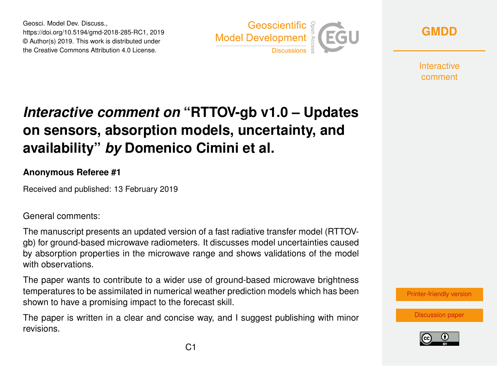Geosci. Model Dev. Discuss., https://doi.org/10.5194/gmd-2018-285-RC1, 2019 © Author(s) 2019. This work is distributed under the Creative Commons Attribution 4.0 License.



**[GMDD](https://www.geosci-model-dev-discuss.net/)**

**Interactive** comment

## *Interactive comment on* **"RTTOV-gb v1.0 – Updates on sensors, absorption models, uncertainty, and availability"** *by* **Domenico Cimini et al.**

## **Anonymous Referee #1**

Received and published: 13 February 2019

General comments:

The manuscript presents an updated version of a fast radiative transfer model (RTTOVgb) for ground-based microwave radiometers. It discusses model uncertainties caused by absorption properties in the microwave range and shows validations of the model with observations.

The paper wants to contribute to a wider use of ground-based microwave brightness temperatures to be assimilated in numerical weather prediction models which has been shown to have a promising impact to the forecast skill.

The paper is written in a clear and concise way, and I suggest publishing with minor revisions.



[Discussion paper](https://www.geosci-model-dev-discuss.net/gmd-2018-285)